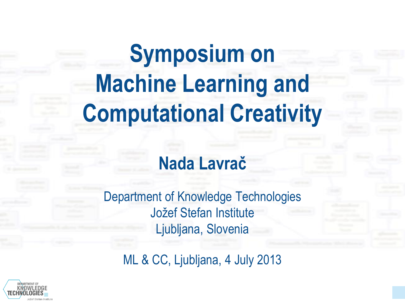# **Symposium on Machine Learning and Computational Creativity**

#### **Nada Lavrač**

Department of Knowledge Technologies Jožef Stefan Institute Ljubljana, Slovenia

ML & CC, Ljubljana, 4 July 2013

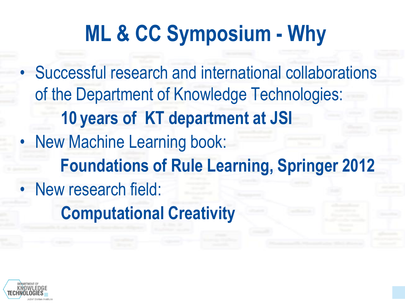## **ML & CC Symposium - Why**

• Successful research and international collaborations of the Department of Knowledge Technologies: **10 years of KT department at JSI** • New Machine Learning book: **Foundations of Rule Learning, Springer 2012** • New research field: **Computational Creativity**

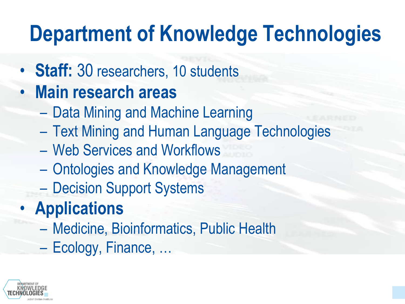### **Department of Knowledge Technologies**

- **Staff:** 30 researchers, 10 students
- **Main research areas** 
	- Data Mining and Machine Learning
	- Text Mining and Human Language Technologies
	- Web Services and Workflows
	- Ontologies and Knowledge Management
	- Decision Support Systems

### • **Applications**

- Medicine, Bioinformatics, Public Health
- Ecology, Finance, …

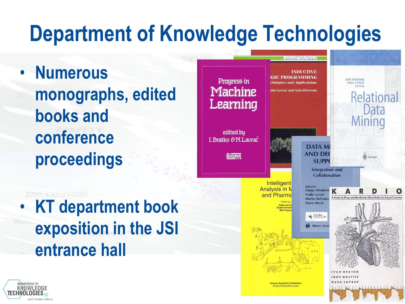## **Department of Knowledge Technologies**

- **Numerous monographs, edited books and conference proceedings**
- **KT department book exposition in the JSI entrance hall**



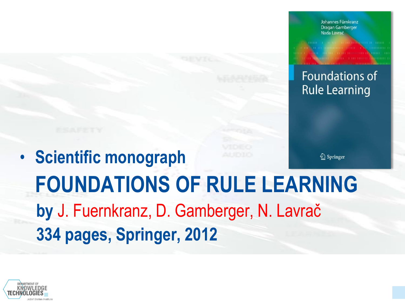Johannes Fürnkranz Dragan Gamberger Nada Lavrač

#### **Foundations of Rule Learning**

#### • **Scientific monograph**  2 Springer **FOUNDATIONS OF RULE LEARNING by** J. Fuernkranz, D. Gamberger, N. Lavrač **334 pages, Springer, 2012**

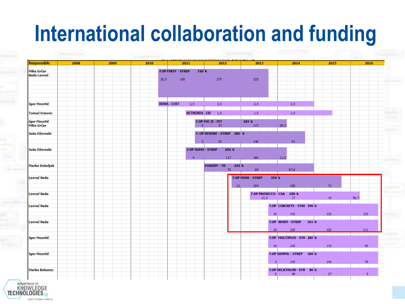### **International collaboration and funding**

| <b>Responsible</b>    | 2008 | 2009 | 2010 |                     |                    | 2011                  |                |                   | 2012                       |       |       |       | 2013                      |              |      | 2014                       |               |     | 2015 |      | 2016 |
|-----------------------|------|------|------|---------------------|--------------------|-----------------------|----------------|-------------------|----------------------------|-------|-------|-------|---------------------------|--------------|------|----------------------------|---------------|-----|------|------|------|
|                       |      |      |      |                     |                    |                       |                |                   |                            |       |       |       |                           |              |      |                            |               |     |      |      |      |
| Miha Grčar            |      |      |      |                     | 7.0P FIRST - STREP |                       | 720 k          |                   |                            |       |       |       |                           |              |      |                            |               |     |      |      |      |
| Nada Lavrač           |      |      |      |                     |                    |                       |                |                   |                            |       |       |       |                           |              |      |                            |               |     |      |      |      |
|                       |      |      |      | 20,5                | 100                |                       |                |                   | 275                        |       |       |       | 325                       |              |      |                            |               |     |      |      |      |
|                       |      |      |      |                     |                    |                       |                |                   |                            |       |       |       |                           |              |      |                            |               |     |      |      |      |
|                       |      |      |      |                     |                    |                       |                |                   |                            |       |       |       |                           |              |      |                            |               |     |      |      |      |
|                       |      |      |      |                     |                    |                       |                |                   |                            |       |       |       |                           |              |      |                            |               |     |      |      |      |
|                       |      |      |      |                     |                    |                       |                |                   |                            |       |       |       |                           |              |      |                            |               |     |      |      |      |
| <b>Igor Mozetič</b>   |      |      |      | <b>MUMIA - COST</b> |                    | 2,5                   |                |                   | 2,5                        |       |       |       | 2,5                       |              |      | 2,5                        |               |     |      |      |      |
|                       |      |      |      |                     |                    |                       |                |                   |                            |       |       |       |                           |              |      |                            |               |     |      |      |      |
| <b>Tomaž Erjavec</b>  |      |      |      |                     |                    | <b>NETWORDS - ESF</b> |                |                   | 1,5                        |       |       |       | 1,5                       |              |      | 1,5                        |               |     |      |      |      |
|                       |      |      |      |                     |                    |                       |                |                   |                            |       |       |       |                           |              |      |                            |               |     |      |      |      |
| <b>Igor Mozetič</b>   |      |      |      |                     |                    |                       |                | 7.0P FOC II - FET |                            |       |       | 183 k |                           |              |      |                            |               |     |      |      |      |
| Miha Grčar            |      |      |      |                     |                    |                       | $\Omega$       |                   | 37                         |       |       |       | 117                       |              | 29,3 |                            |               |     |      |      |      |
|                       |      |      |      |                     |                    |                       |                |                   |                            |       |       |       |                           |              |      |                            |               |     |      |      |      |
| Sašo Džeroski         |      |      |      |                     |                    |                       |                |                   | 7. OP REWIRE - STREP 285 k |       |       |       |                           |              |      |                            |               |     |      |      |      |
|                       |      |      |      |                     |                    |                       | $\overline{2}$ |                   | 52                         |       |       |       | 140                       |              |      | 91                         |               |     |      |      |      |
|                       |      |      |      |                     |                    |                       |                |                   |                            |       |       |       |                           |              |      |                            |               |     |      |      |      |
| Sašo Džeroski         |      |      |      |                     |                    |                       |                | 7.0P SUMO - STREP |                            | 292 k |       |       |                           |              |      |                            |               |     |      |      |      |
|                       |      |      |      |                     |                    |                       |                |                   |                            |       |       |       |                           |              |      |                            |               |     |      |      |      |
|                       |      |      |      |                     |                    | $\overline{4}$        |                |                   |                            | 117   |       |       | 160                       |              | 11,2 |                            |               |     |      |      |      |
|                       |      |      |      |                     |                    |                       |                |                   |                            |       |       |       |                           |              |      |                            |               |     |      |      |      |
| <b>Marko Debeljak</b> |      |      |      |                     |                    |                       |                |                   | <b>EVADIFF - TR</b>        |       | 242 k |       |                           |              |      |                            |               |     |      |      |      |
|                       |      |      |      |                     |                    |                       |                |                   |                            | 75    |       |       | 69                        |              |      | 97,8                       |               |     |      |      |      |
| Lavrač Nada           |      |      |      |                     |                    |                       |                |                   |                            |       |       |       | 7.0P MUSE - STREP         | 354 k        |      |                            |               |     |      |      |      |
|                       |      |      |      |                     |                    |                       |                |                   |                            |       |       |       |                           |              |      |                            |               |     |      |      |      |
|                       |      |      |      |                     |                    |                       |                |                   |                            |       | 21    |       | 104                       |              |      | 158                        |               | 71  |      |      |      |
|                       |      |      |      |                     |                    |                       |                |                   |                            |       |       |       |                           |              |      |                            |               |     |      |      |      |
| Lavrač Nada           |      |      |      |                     |                    |                       |                |                   |                            |       |       |       | 7.0P PROSECCO - CSA 100 k |              |      |                            |               |     |      |      |      |
|                       |      |      |      |                     |                    |                       |                |                   |                            |       |       |       | 11,3                      |              |      | $17$                       |               | 15  |      | 56,7 |      |
| Lavrač Nada           |      |      |      |                     |                    |                       |                |                   |                            |       |       |       |                           |              |      | 7.OP CONCRETE - STRE 396 k |               |     |      |      |      |
|                       |      |      |      |                     |                    |                       |                |                   |                            |       |       |       |                           |              |      |                            |               |     |      |      |      |
|                       |      |      |      |                     |                    |                       |                |                   |                            |       |       |       |                           | 10           |      | 132                        |               | 132 |      |      | 122  |
|                       |      |      |      |                     |                    |                       |                |                   |                            |       |       |       |                           |              |      |                            | and the first |     |      |      |      |
| Lavrač Nada           |      |      |      |                     |                    |                       |                |                   |                            |       |       |       |                           |              |      | 7.0P WHIM - STREP          | 361 k         |     |      |      |      |
|                       |      |      |      |                     |                    |                       |                |                   |                            |       |       |       |                           |              |      |                            |               |     |      |      |      |
|                       |      |      |      |                     |                    |                       |                |                   |                            |       |       |       |                           | 10           |      | 120                        |               | 120 |      |      | 111  |
| <b>Igor Mozetič</b>   |      |      |      |                     |                    |                       |                |                   |                            |       |       |       |                           |              |      | 7.0P MULTIPLEX - STR 285 k |               |     |      |      |      |
|                       |      |      |      |                     |                    |                       |                |                   |                            |       |       |       |                           |              |      |                            |               |     |      |      |      |
|                       |      |      |      |                     |                    |                       |                |                   |                            |       |       |       |                           | 10           |      | 110                        |               | 115 |      |      | 50   |
|                       |      |      |      |                     |                    |                       |                |                   |                            |       |       |       |                           |              |      |                            |               |     |      |      |      |
| Igor Mozetič          |      |      |      |                     |                    |                       |                |                   |                            |       |       |       |                           |              |      | 7.0P SIMPOL - STREP 360 k  |               |     |      |      |      |
|                       |      |      |      |                     |                    |                       |                |                   |                            |       |       |       |                           |              |      |                            |               |     |      |      |      |
|                       |      |      |      |                     |                    |                       |                |                   |                            |       |       |       |                           | -5           |      | 135                        |               | 145 |      |      | 75   |
| <b>Marko Bohanec</b>  |      |      |      |                     |                    |                       |                |                   |                            |       |       |       |                           |              |      | 7.OP DECATHLON - STR 80 k  |               |     |      |      |      |
|                       |      |      |      |                     |                    |                       |                |                   |                            |       |       |       |                           | $\mathbf{0}$ |      | 48                         |               | 27  |      |      | 5    |
|                       |      |      |      |                     |                    |                       |                |                   |                            |       |       |       |                           |              |      |                            |               |     |      |      |      |

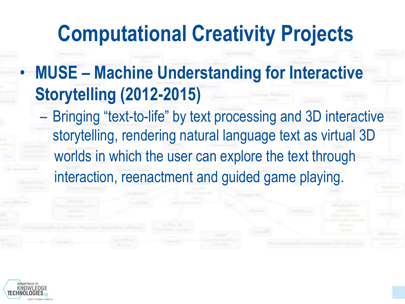### **Computational Creativity Projects**

- **MUSE – Machine Understanding for Interactive Storytelling (2012-2015)**
	- Bringing "text-to-life" by text processing and 3D interactive storytelling, rendering natural language text as virtual 3D worlds in which the user can explore the text through interaction, reenactment and guided game playing.

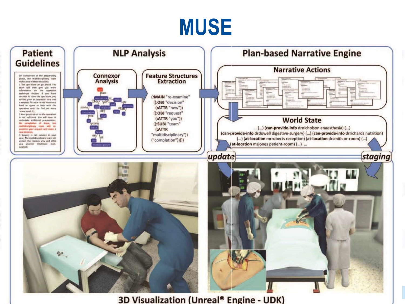### **MUSE**



**3D Visualization (Unreal<sup>®</sup> Engine - UDK)**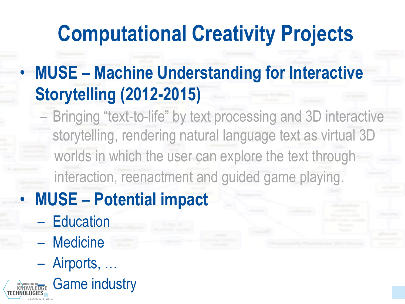# **Computational Creativity Projects**

### • **MUSE – Machine Understanding for Interactive Storytelling (2012-2015)**

– Bringing "text-to-life" by text processing and 3D interactive storytelling, rendering natural language text as virtual 3D worlds in which the user can explore the text through interaction, reenactment and guided game playing.

### • **MUSE – Potential impact**

- Education
- Medicine
- Airports, …

**RANGINISTIC Game industry**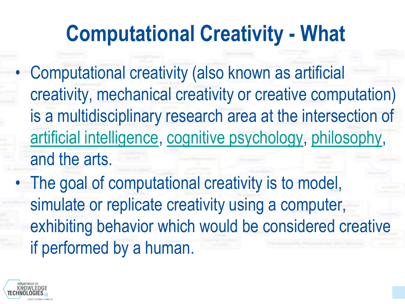### **Computational Creativity - What**

- Computational creativity (also known as artificial creativity, mechanical creativity or creative computation) is a multidisciplinary research area at the intersection of [artificial intelligence](http://en.wikipedia.org/wiki/Artificial_intelligence), [cognitive psychology](http://en.wikipedia.org/wiki/Cognitive_psychology), [philosophy,](http://en.wikipedia.org/wiki/Philosophy) and the arts.
- The goal of computational creativity is to model, simulate or replicate creativity using a computer, exhibiting behavior which would be considered creative if performed by a human.

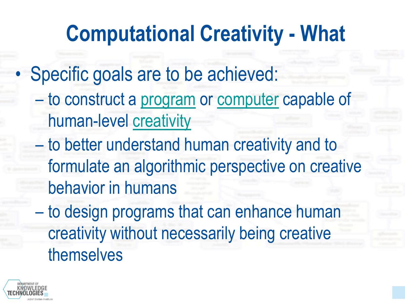### **Computational Creativity - What**

- Specific goals are to be achieved:
	- to construct a [program](http://en.wikipedia.org/wiki/Computer_program) or [computer](http://en.wikipedia.org/wiki/Computer) capable of human-level [creativity](http://en.wikipedia.org/wiki/Creativity)
	- to better understand human creativity and to formulate an algorithmic perspective on creative behavior in humans
	- to design programs that can enhance human creativity without necessarily being creative themselves

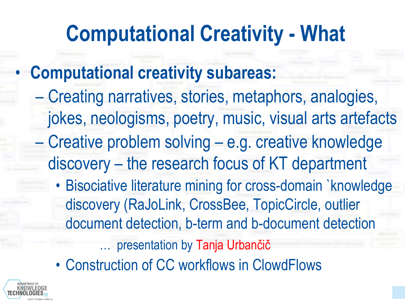## **Computational Creativity - What**

- **Computational creativity subareas:**
	- Creating narratives, stories, metaphors, analogies, jokes, neologisms, poetry, music, visual arts artefacts – Creative problem solving – e.g. creative knowledge discovery – the research focus of KT department
		- Bisociative literature mining for cross-domain `knowledge discovery (RaJoLink, CrossBee, TopicCircle, outlier document detection, b-term and b-document detection

… presentation by Tanja Urbančič

• Construction of CC workflows in ClowdFlows

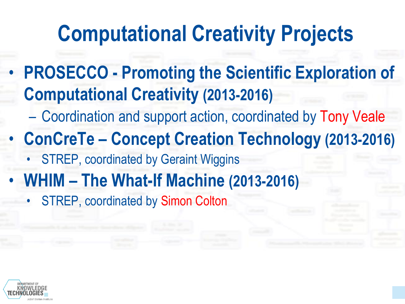### **Computational Creativity Projects**

- **PROSECCO - Promoting the Scientific Exploration of Computational Creativity (2013-2016)** 
	- Coordination and support action, coordinated by Tony Veale
- **ConCreTe – Concept Creation Technology (2013-2016)** 
	- **STREP, coordinated by Geraint Wiggins**
- **WHIM – The What-If Machine (2013-2016)** 
	- STREP, coordinated by Simon Colton

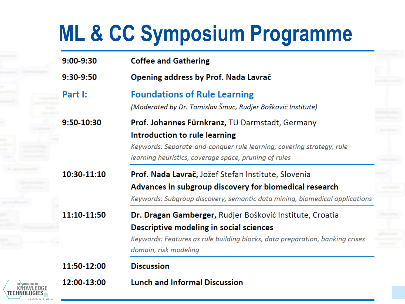### **ML & CC Symposium Programme**

| $9:00-9:30$ | <b>Coffee and Gathering</b>                                                                                                                                                                                               |
|-------------|---------------------------------------------------------------------------------------------------------------------------------------------------------------------------------------------------------------------------|
| $9:30-9:50$ | Opening address by Prof. Nada Lavrač                                                                                                                                                                                      |
| Part I:     | <b>Foundations of Rule Learning</b><br>(Moderated by Dr. Tomislav Šmuc, Rudjer Bošković Institute)                                                                                                                        |
| 9:50-10:30  | <b>Prof. Johannes Fürnkranz, TU Darmstadt, Germany</b><br>Introduction to rule learning<br>Keywords: Separate-and-conquer rule learning, covering strategy, rule<br>learning heuristics, coverage space, pruning of rules |
| 10:30-11:10 | Prof. Nada Lavrač, Jožef Stefan Institute, Slovenia<br>Advances in subgroup discovery for biomedical research<br>Keywords: Subgroup discovery, semantic data mining, biomedical applications                              |
| 11:10-11:50 | Dr. Dragan Gamberger, Rudjer Bošković Institute, Croatia<br>Descriptive modeling in social sciences<br>Keywords: Features as rule building blocks, data preparation, banking crises<br>domain, risk modeling              |
| 11:50-12:00 | <b>Discussion</b>                                                                                                                                                                                                         |
| 12:00-13:00 | <b>Lunch and Informal Discussion</b>                                                                                                                                                                                      |
|             |                                                                                                                                                                                                                           |

**17**

**DERARTMENT OF KNOWLEDGE TECHNOLOGIES** 

Jožef Stefan Institute